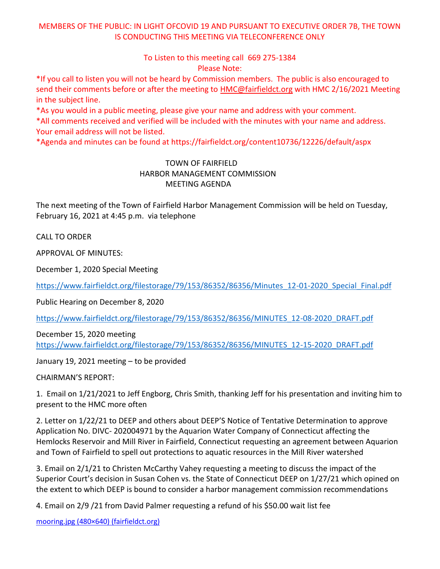## MEMBERS OF THE PUBLIC: IN LIGHT OFCOVID 19 AND PURSUANT TO EXECUTIVE ORDER 7B, THE TOWN IS CONDUCTING THIS MEETING VIA TELECONFERENCE ONLY

# To Listen to this meeting call 669 275-1384 Please Note:

\*If you call to listen you will not be heard by Commission members. The public is also encouraged to send their comments before or after the meeting to **HMC@fairfieldct.org** with HMC 2/16/2021 Meeting in the subject line.

\*As you would in a public meeting, please give your name and address with your comment.

\*All comments received and verified will be included with the minutes with your name and address. Your email address will not be listed.

\*Agenda and minutes can be found at https://fairfieldct.org/content10736/12226/default/aspx

## TOWN OF FAIRFIELD HARBOR MANAGEMENT COMMISSION MEETING AGENDA

The next meeting of the Town of Fairfield Harbor Management Commission will be held on Tuesday, February 16, 2021 at 4:45 p.m. via telephone

CALL TO ORDER

APPROVAL OF MINUTES:

December 1, 2020 Special Meeting

[https://www.fairfieldct.org/filestorage/79/153/86352/86356/Minutes\\_12-01-2020\\_Special\\_Final.pdf](https://www.fairfieldct.org/filestorage/79/153/86352/86356/Minutes_12-01-2020_Special_Final.pdf)

Public Hearing on December 8, 2020

[https://www.fairfieldct.org/filestorage/79/153/86352/86356/MINUTES\\_12-08-2020\\_DRAFT.pdf](https://www.fairfieldct.org/filestorage/79/153/86352/86356/MINUTES_12-08-2020_DRAFT.pdf)

December 15, 2020 meeting [https://www.fairfieldct.org/filestorage/79/153/86352/86356/MINUTES\\_12-15-2020\\_DRAFT.pdf](https://www.fairfieldct.org/filestorage/79/153/86352/86356/MINUTES_12-15-2020_DRAFT.pdf)

January 19, 2021 meeting – to be provided

CHAIRMAN'S REPORT:

1. Email on 1/21/2021 to Jeff Engborg, Chris Smith, thanking Jeff for his presentation and inviting him to present to the HMC more often

2. Letter on 1/22/21 to DEEP and others about DEEP'S Notice of Tentative Determination to approve Application No. DIVC- 202004971 by the Aquarion Water Company of Connecticut affecting the Hemlocks Reservoir and Mill River in Fairfield, Connecticut requesting an agreement between Aquarion and Town of Fairfield to spell out protections to aquatic resources in the Mill River watershed

3. Email on 2/1/21 to Christen McCarthy Vahey requesting a meeting to discuss the impact of the Superior Court's decision in Susan Cohen vs. the State of Connecticut DEEP on 1/27/21 which opined on the extent to which DEEP is bound to consider a harbor management commission recommendations

4. Email on 2/9 /21 from David Palmer requesting a refund of his \$50.00 wait list fee

[mooring.jpg \(480×640\) \(fairfieldct.org\)](https://www.fairfieldct.org/filestorage/10736/12067/17037/66861/94822/mooring.jpg)